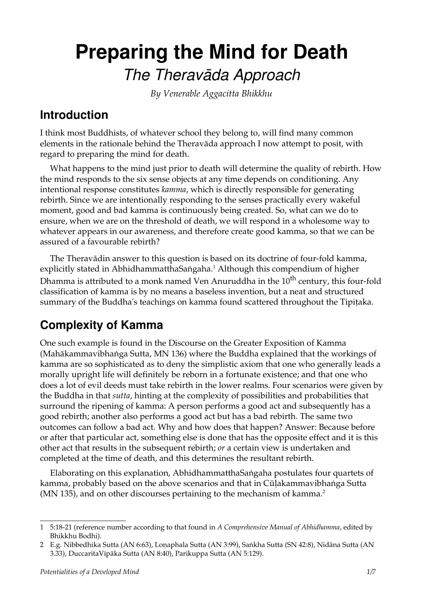# **Preparing the Mind for Death** *The Theravàda Approach*

*By Venerable Aggacitta Bhikkhu*

### **Introduction**

I think most Buddhists, of whatever school they belong to, will find many common elements in the rationale behind the Theravàda approach I now attempt to posit, with regard to preparing the mind for death.

What happens to the mind just prior to death will determine the quality of rebirth. How the mind responds to the six sense objects at any time depends on conditioning. Any intentional response constitutes *kamma*, which is directly responsible for generating rebirth. Since we are intentionally responding to the senses practically every wakeful moment, good and bad kamma is continuously being created. So, what can we do to ensure, when we are on the threshold of death, we will respond in a wholesome way to whatever appears in our awareness, and therefore create good kamma, so that we can be assured of a favourable rebirth?

The Theravàdin answer to this question is based on its doctrine of four-fold kamma, explicitly stated in AbhidhammatthaSaṅgaha.<sup>[1](#page-0-0)</sup> Although this compendium of higher Dhamma is attributed to a monk named Ven Anuruddha in the  $10<sup>th</sup>$  century, this four-fold classification of kamma is by no means a baseless invention, but a neat and structured summary of the Buddha's teachings on kamma found scattered throughout the Tipițaka.

### **Complexity of Kamma**

One such example is found in the Discourse on the Greater Exposition of Kamma (Mahākammavibhanga Sutta, MN 136) where the Buddha explained that the workings of kamma are so sophisticated as to deny the simplistic axiom that one who generally leads a morally upright life will definitely be reborn in a fortunate existence; and that one who does a lot of evil deeds must take rebirth in the lower realms. Four scenarios were given by the Buddha in that *sutta*, hinting at the complexity of possibilities and probabilities that surround the ripening of kamma: A person performs a good act and subsequently has a good rebirth; another also performs a good act but has a bad rebirth. The same two outcomes can follow a bad act. Why and how does that happen? Answer: Because before or after that particular act, something else is done that has the opposite effect and it is this other act that results in the subsequent rebirth; *or* a certain view is undertaken and completed at the time of death, and this determines the resultant rebirth.

Elaborating on this explanation, AbhidhammatthaSaïgaha postulates four quartets of kamma, probably based on the above scenarios and that in Cūlakammavibhanga Sutta (MN 135), and on other discourses pertaining to the mechanism of kamma.<sup>[2](#page-0-1)</sup>

<span id="page-0-0"></span><sup>1</sup> 5:18-21 (reference number according to that found in *A Comprehensive Manual of Abhidhamma*, edited by Bhikkhu Bodhi).

<span id="page-0-1"></span><sup>2</sup> E.g. Nibbedhika Sutta (AN 6:63), Lonaphala Sutta (AN 3:99), Sankha Sutta (SN 42:8), Nidāna Sutta (AN 3.33), DuccaritaVipàka Sutta (AN 8:40), Parikuppa Sutta (AN 5:129).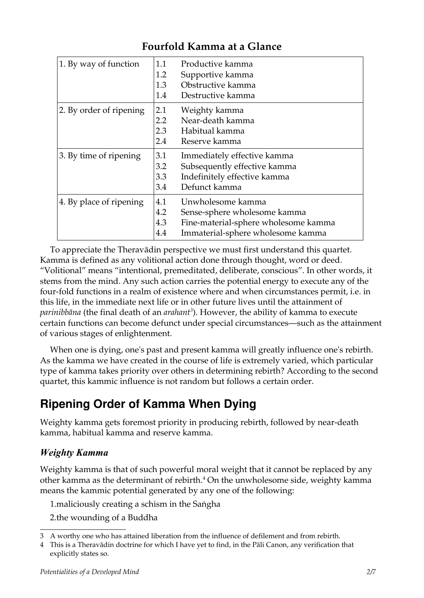| 1. By way of function   | 1.1<br>1.2<br>1.3<br>1.4 | Productive kamma<br>Supportive kamma<br>Obstructive kamma<br>Destructive kamma                                                 |
|-------------------------|--------------------------|--------------------------------------------------------------------------------------------------------------------------------|
| 2. By order of ripening | 2.1<br>2.2<br>2.3<br>2.4 | Weighty kamma<br>Near-death kamma<br>Habitual kamma<br>Reserve kamma                                                           |
| 3. By time of ripening  | 3.1<br>3.2<br>3.3<br>3.4 | Immediately effective kamma<br>Subsequently effective kamma<br>Indefinitely effective kamma<br>Defunct kamma                   |
| 4. By place of ripening | 4.1<br>4.2<br>4.3<br>4.4 | Unwholesome kamma<br>Sense-sphere wholesome kamma<br>Fine-material-sphere wholesome kamma<br>Immaterial-sphere wholesome kamma |

### **Fourfold Kamma at a Glance**

To appreciate the Theravàdin perspective we must first understand this quartet. Kamma is defined as any volitional action done through thought, word or deed. "Volitional" means "intentional, premeditated, deliberate, conscious". In other words, it stems from the mind. Any such action carries the potential energy to execute any of the four-fold functions in a realm of existence where and when circumstances permit, i.e. in this life, in the immediate next life or in other future lives until the attainment of *parinibbàna* (the final death of an *arahant[3](#page-1-0)* ). However, the ability of kamma to execute certain functions can become defunct under special circumstances—such as the attainment of various stages of enlightenment.

When one is dying, one's past and present kamma will greatly influence one's rebirth. As the kamma we have created in the course of life is extremely varied, which particular type of kamma takes priority over others in determining rebirth? According to the second quartet, this kammic influence is not random but follows a certain order.

### **Ripening Order of Kamma When Dying**

Weighty kamma gets foremost priority in producing rebirth, followed by near-death kamma, habitual kamma and reserve kamma.

#### *Weighty Kamma*

Weighty kamma is that of such powerful moral weight that it cannot be replaced by any other kamma as the determinant of rebirth. $4$  On the unwholesome side, weighty kamma means the kammic potential generated by any one of the following:

1. maliciously creating a schism in the Sangha

2.the wounding of a Buddha

<span id="page-1-0"></span><sup>3</sup> A worthy one who has attained liberation from the influence of defilement and from rebirth.

<span id="page-1-1"></span><sup>4</sup> This is a Theravàdin doctrine for which I have yet to find, in the Pàli Canon, any verification that explicitly states so.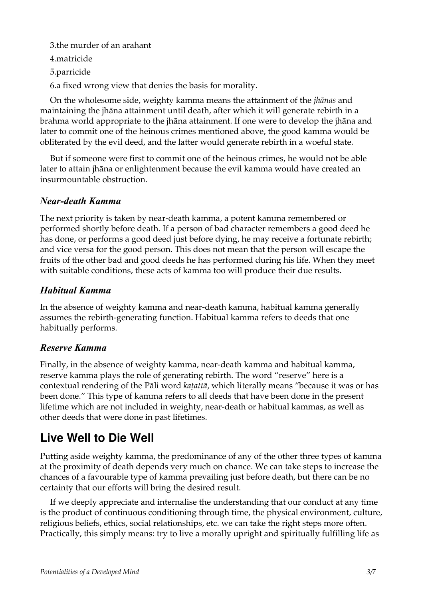3.the murder of an arahant 4.matricide 5.parricide 6.a fixed wrong view that denies the basis for morality.

On the wholesome side, weighty kamma means the attainment of the *jhànas* and maintaining the jhàna attainment until death, after which it will generate rebirth in a brahma world appropriate to the jhàna attainment. If one were to develop the jhàna and later to commit one of the heinous crimes mentioned above, the good kamma would be obliterated by the evil deed, and the latter would generate rebirth in a woeful state.

But if someone were first to commit one of the heinous crimes, he would not be able later to attain jhàna or enlightenment because the evil kamma would have created an insurmountable obstruction.

#### *Near-death Kamma*

The next priority is taken by near-death kamma, a potent kamma remembered or performed shortly before death. If a person of bad character remembers a good deed he has done, or performs a good deed just before dying, he may receive a fortunate rebirth; and vice versa for the good person. This does not mean that the person will escape the fruits of the other bad and good deeds he has performed during his life. When they meet with suitable conditions, these acts of kamma too will produce their due results.

#### *Habitual Kamma*

In the absence of weighty kamma and near-death kamma, habitual kamma generally assumes the rebirth-generating function. Habitual kamma refers to deeds that one habitually performs.

#### *Reserve Kamma*

Finally, in the absence of weighty kamma, near-death kamma and habitual kamma, reserve kamma plays the role of generating rebirth. The word "reserve" here is a contextual rendering of the Pàli word *kañattà*, which literally means "because it was or has been done." This type of kamma refers to all deeds that have been done in the present lifetime which are not included in weighty, near-death or habitual kammas, as well as other deeds that were done in past lifetimes.

### **Live Well to Die Well**

Putting aside weighty kamma, the predominance of any of the other three types of kamma at the proximity of death depends very much on chance. We can take steps to increase the chances of a favourable type of kamma prevailing just before death, but there can be no certainty that our efforts will bring the desired result.

If we deeply appreciate and internalise the understanding that our conduct at any time is the product of continuous conditioning through time, the physical environment, culture, religious beliefs, ethics, social relationships, etc. we can take the right steps more often. Practically, this simply means: try to live a morally upright and spiritually fulfilling life as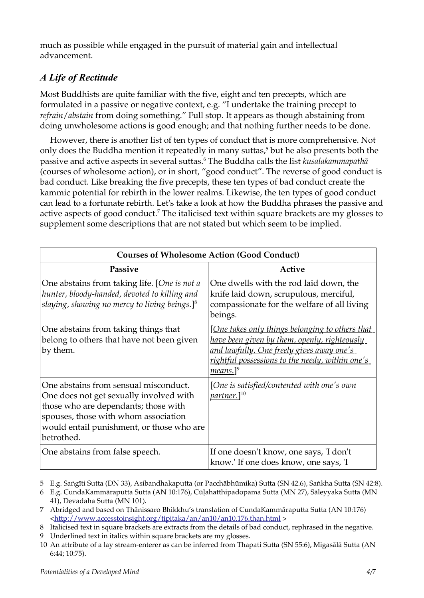much as possible while engaged in the pursuit of material gain and intellectual advancement.

### *A Life of Rectitude*

Most Buddhists are quite familiar with the five, eight and ten precepts, which are formulated in a passive or negative context, e.g. "I undertake the training precept to *refrain*/*abstain* from doing something." Full stop. It appears as though abstaining from doing unwholesome actions is good enough; and that nothing further needs to be done.

However, there is another list of ten types of conduct that is more comprehensive. Not only does the Buddha mention it repeatedly in many suttas,<sup>[5](#page-3-0)</sup> but he also presents both the passive and active aspects in several suttas.[6](#page-3-1) The Buddha calls the list *kusalakammapathà* (courses of wholesome action), or in short, "good conduct". The reverse of good conduct is bad conduct. Like breaking the five precepts, these ten types of bad conduct create the kammic potential for rebirth in the lower realms. Likewise, the ten types of good conduct can lead to a fortunate rebirth. Let's take a look at how the Buddha phrases the passive and active aspects of good conduct.<sup>[7](#page-3-2)</sup> The italicised text within square brackets are my glosses to supplement some descriptions that are not stated but which seem to be implied.

| <b>Courses of Wholesome Action (Good Conduct)</b>                                                                                                                                                                           |                                                                                                                                                                                                                                       |  |  |
|-----------------------------------------------------------------------------------------------------------------------------------------------------------------------------------------------------------------------------|---------------------------------------------------------------------------------------------------------------------------------------------------------------------------------------------------------------------------------------|--|--|
| <b>Passive</b>                                                                                                                                                                                                              | Active                                                                                                                                                                                                                                |  |  |
| One abstains from taking life. [One is not a<br>hunter, bloody-handed, devoted to killing and<br>slaying, showing no mercy to living beings.] $^8$                                                                          | One dwells with the rod laid down, the<br>knife laid down, scrupulous, merciful,<br>compassionate for the welfare of all living<br>beings.                                                                                            |  |  |
| One abstains from taking things that<br>belong to others that have not been given<br>by them.                                                                                                                               | <u>[One takes only things belonging to others that</u><br>have been given by them, openly, righteously<br>and lawfully. One freely gives away one's<br><u>rightful possessions to the needy, within one's</u><br>means.] <sup>9</sup> |  |  |
| One abstains from sensual misconduct.<br>One does not get sexually involved with<br>those who are dependants; those with<br>spouses, those with whom association<br>would entail punishment, or those who are<br>betrothed. | <u>[One is satisfied/contented with one's own [</u><br><i>partner</i> .] <sup>10</sup>                                                                                                                                                |  |  |
| One abstains from false speech.                                                                                                                                                                                             | If one doesn't know, one says, 'I don't<br>know.' If one does know, one says, 'I                                                                                                                                                      |  |  |

<span id="page-3-0"></span><sup>5</sup> E.g. Sangīti Sutta (DN 33), Asibandhakaputta (or Pacchābhūmika) Sutta (SN 42.6), Sankha Sutta (SN 42:8).

<span id="page-3-1"></span><sup>6</sup> E.g. CundaKammàraputta Sutta (AN 10:176), Cåëahatthipadopama Sutta (MN 27), Sàleyyaka Sutta (MN 41), Devadaha Sutta (MN 101).

<span id="page-3-2"></span><sup>7</sup> Abridged and based on Thānissaro Bhikkhu's translation of CundaKammāraputta Sutta (AN 10:176) *<*<http://www.accesstoinsight.org/tipitaka/an/an10/an10.176.than.html> *>*

<span id="page-3-3"></span><sup>8</sup> Italicised text in square brackets are extracts from the details of bad conduct, rephrased in the negative.

<span id="page-3-4"></span><sup>9</sup> Underlined text in italics within square brackets are my glosses.

<span id="page-3-5"></span><sup>10</sup> An attribute of a lay stream-enterer as can be inferred from Thapati Sutta (SN 55:6), Migasàlà Sutta (AN 6:44; 10:75).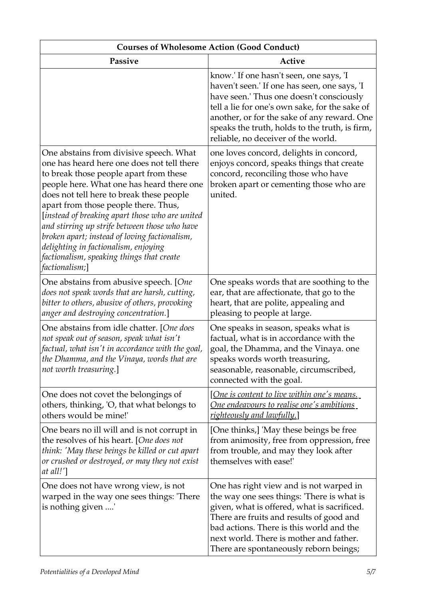| <b>Courses of Wholesome Action (Good Conduct)</b>                                                                                                                                                                                                                                                                                                                                                                                                                                                                            |                                                                                                                                                                                                                                                                                                                               |  |  |  |
|------------------------------------------------------------------------------------------------------------------------------------------------------------------------------------------------------------------------------------------------------------------------------------------------------------------------------------------------------------------------------------------------------------------------------------------------------------------------------------------------------------------------------|-------------------------------------------------------------------------------------------------------------------------------------------------------------------------------------------------------------------------------------------------------------------------------------------------------------------------------|--|--|--|
| Passive                                                                                                                                                                                                                                                                                                                                                                                                                                                                                                                      | <b>Active</b>                                                                                                                                                                                                                                                                                                                 |  |  |  |
|                                                                                                                                                                                                                                                                                                                                                                                                                                                                                                                              | know.' If one hasn't seen, one says, 'I<br>haven't seen.' If one has seen, one says, 'I<br>have seen.' Thus one doesn't consciously<br>tell a lie for one's own sake, for the sake of<br>another, or for the sake of any reward. One<br>speaks the truth, holds to the truth, is firm,<br>reliable, no deceiver of the world. |  |  |  |
| One abstains from divisive speech. What<br>one has heard here one does not tell there<br>to break those people apart from these<br>people here. What one has heard there one<br>does not tell here to break these people<br>apart from those people there. Thus,<br>[instead of breaking apart those who are united<br>and stirring up strife between those who have<br>broken apart; instead of loving factionalism,<br>delighting in factionalism, enjoying<br>factionalism, speaking things that create<br>factionalism;] | one loves concord, delights in concord,<br>enjoys concord, speaks things that create<br>concord, reconciling those who have<br>broken apart or cementing those who are<br>united.                                                                                                                                             |  |  |  |
| One abstains from abusive speech. [One<br>does not speak words that are harsh, cutting,<br>bitter to others, abusive of others, provoking<br>anger and destroying concentration.]                                                                                                                                                                                                                                                                                                                                            | One speaks words that are soothing to the<br>ear, that are affectionate, that go to the<br>heart, that are polite, appealing and<br>pleasing to people at large.                                                                                                                                                              |  |  |  |
| One abstains from idle chatter. [One does<br>not speak out of season, speak what isn't<br>factual, what isn't in accordance with the goal,<br>the Dhamma, and the Vinaya, words that are<br>not worth treasuring.]                                                                                                                                                                                                                                                                                                           | One speaks in season, speaks what is<br>factual, what is in accordance with the<br>goal, the Dhamma, and the Vinaya. one<br>speaks words worth treasuring,<br>seasonable, reasonable, circumscribed,<br>connected with the goal.                                                                                              |  |  |  |
| One does not covet the belongings of<br>others, thinking, 'O, that what belongs to<br>others would be mine!'                                                                                                                                                                                                                                                                                                                                                                                                                 | <u>[One is content to live within one's means.</u><br><u>One endeavours to realise one's ambitions</u><br>righteously and lawfully.]                                                                                                                                                                                          |  |  |  |
| One bears no ill will and is not corrupt in<br>the resolves of his heart. [One does not<br>think: 'May these beings be killed or cut apart<br>or crushed or destroyed, or may they not exist<br>at all!']                                                                                                                                                                                                                                                                                                                    | [One thinks,] 'May these beings be free<br>from animosity, free from oppression, free<br>from trouble, and may they look after<br>themselves with ease!'                                                                                                                                                                      |  |  |  |
| One does not have wrong view, is not<br>warped in the way one sees things: 'There<br>is nothing given '                                                                                                                                                                                                                                                                                                                                                                                                                      | One has right view and is not warped in<br>the way one sees things: 'There is what is<br>given, what is offered, what is sacrificed.<br>There are fruits and results of good and<br>bad actions. There is this world and the<br>next world. There is mother and father.<br>There are spontaneously reborn beings;             |  |  |  |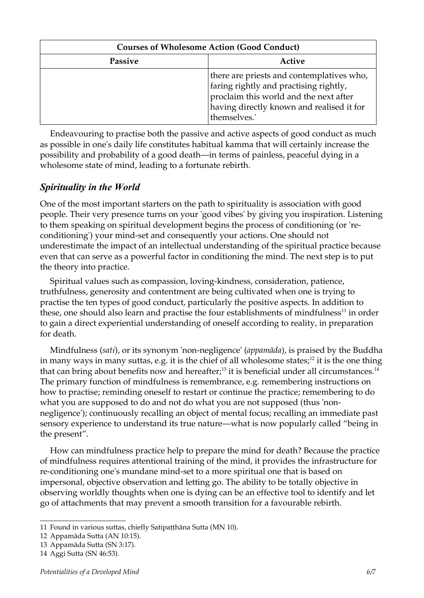| <b>Courses of Wholesome Action (Good Conduct)</b> |                                                                                                                                                                                           |  |
|---------------------------------------------------|-------------------------------------------------------------------------------------------------------------------------------------------------------------------------------------------|--|
| Passive                                           | Active                                                                                                                                                                                    |  |
|                                                   | there are priests and contemplatives who,<br>faring rightly and practising rightly,<br>proclaim this world and the next after<br>having directly known and realised it for<br>themselves. |  |

Endeavouring to practise both the passive and active aspects of good conduct as much as possible in one's daily life constitutes habitual kamma that will certainly increase the possibility and probability of a good death—in terms of painless, peaceful dying in a wholesome state of mind, leading to a fortunate rebirth.

#### *Spirituality in the World*

One of the most important starters on the path to spirituality is association with good people. Their very presence turns on your 'good vibes' by giving you inspiration. Listening to them speaking on spiritual development begins the process of conditioning (or 'reconditioning') your mind-set and consequently your actions. One should not underestimate the impact of an intellectual understanding of the spiritual practice because even that can serve as a powerful factor in conditioning the mind. The next step is to put the theory into practice.

Spiritual values such as compassion, loving-kindness, consideration, patience, truthfulness, generosity and contentment are being cultivated when one is trying to practise the ten types of good conduct, particularly the positive aspects. In addition to these, one should also learn and practise the four establishments of mindfulness<sup>[11](#page-5-0)</sup> in order to gain a direct experiential understanding of oneself according to reality, in preparation for death.

Mindfulness (*sati*), or its synonym 'non-negligence' (*appamàda*), is praised by the Buddha in many ways in many suttas, e.g. it is the chief of all wholesome states; $^{12}$  $^{12}$  $^{12}$  it is the one thing that can bring about benefits now and hereafter;<sup>[13](#page-5-2)</sup> it is beneficial under all circumstances.<sup>[14](#page-5-3)</sup> The primary function of mindfulness is remembrance, e.g. remembering instructions on how to practise; reminding oneself to restart or continue the practice; remembering to do what you are supposed to do and not do what you are not supposed (thus 'nonnegligence'); continuously recalling an object of mental focus; recalling an immediate past sensory experience to understand its true nature—what is now popularly called "being in the present".

How can mindfulness practice help to prepare the mind for death? Because the practice of mindfulness requires attentional training of the mind, it provides the infrastructure for re-conditioning one's mundane mind-set to a more spiritual one that is based on impersonal, objective observation and letting go. The ability to be totally objective in observing worldly thoughts when one is dying can be an effective tool to identify and let go of attachments that may prevent a smooth transition for a favourable rebirth.

<span id="page-5-0"></span><sup>11</sup> Found in various suttas, chiefly Satipaṭṭhāna Sutta (MN 10).

<span id="page-5-1"></span><sup>12</sup> Appamàda Sutta (AN 10:15).

<span id="page-5-2"></span><sup>13</sup> Appamàda Sutta (SN 3:17).

<span id="page-5-3"></span><sup>14</sup> Aggi Sutta (SN 46:53).